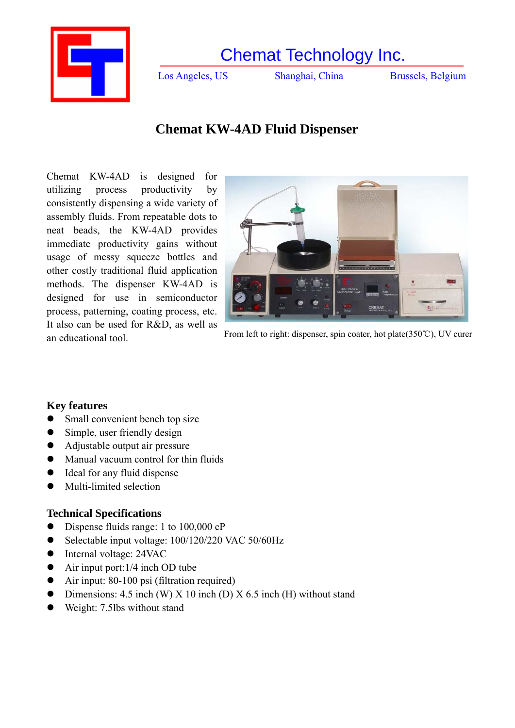

Los Angeles, US Shanghai, China Brussels, Belgium

# **Chemat KW-4AD Fluid Dispenser**

Chemat KW-4AD is designed for utilizing process productivity by consistently dispensing a wide variety of assembly fluids. From repeatable dots to neat beads, the KW-4AD provides immediate productivity gains without usage of messy squeeze bottles and other costly traditional fluid application methods. The dispenser KW-4AD is designed for use in semiconductor process, patterning, coating process, etc. It also can be used for R&D, as well as



an educational tool. From left to right: dispenser, spin coater, hot plate(350℃), UV curer

### **Key features**

- Small convenient bench top size
- $\bullet$  Simple, user friendly design
- Adjustable output air pressure
- Manual vacuum control for thin fluids
- Ideal for any fluid dispense
- $\bullet$  Multi-limited selection

### **Technical Specifications**

- Dispense fluids range: 1 to 100,000 cP
- $\bullet$  Selectable input voltage: 100/120/220 VAC 50/60Hz
- Internal voltage: 24VAC
- $\bullet$  Air input port:1/4 inch OD tube
- $\bullet$  Air input: 80-100 psi (filtration required)
- Dimensions: 4.5 inch (W) X 10 inch (D) X 6.5 inch (H) without stand
- $\bullet$  Weight: 7.5lbs without stand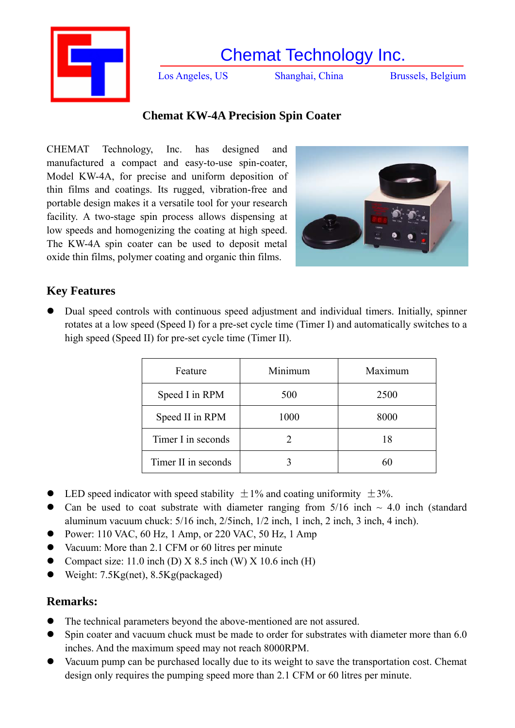

Los Angeles, US Shanghai, China Brussels, Belgium

# **Chemat KW-4A Precision Spin Coater**

CHEMAT Technology, Inc. has designed and manufactured a compact and easy-to-use spin-coater, Model KW-4A, for precise and uniform deposition of thin films and coatings. Its rugged, vibration-free and portable design makes it a versatile tool for your research facility. A two-stage spin process allows dispensing at low speeds and homogenizing the coating at high speed. The KW-4A spin coater can be used to deposit metal oxide thin films, polymer coating and organic thin films.



# **Key Features**

• Dual speed controls with continuous speed adjustment and individual timers. Initially, spinner rotates at a low speed (Speed I) for a pre-set cycle time (Timer I) and automatically switches to a high speed (Speed II) for pre-set cycle time (Timer II).

| Feature             | Minimum | Maximum |
|---------------------|---------|---------|
| Speed I in RPM      | 500     | 2500    |
| Speed II in RPM     | 1000    | 8000    |
| Timer I in seconds  |         | 18      |
| Timer II in seconds |         | 60      |

- LED speed indicator with speed stability  $\pm 1\%$  and coating uniformity  $\pm 3\%$ .
- Can be used to coat substrate with diameter ranging from  $5/16$  inch  $\sim 4.0$  inch (standard aluminum vacuum chuck: 5/16 inch, 2/5inch, 1/2 inch, 1 inch, 2 inch, 3 inch, 4 inch).
- Power: 110 VAC, 60 Hz, 1 Amp, or 220 VAC, 50 Hz, 1 Amp
- Vacuum: More than 2.1 CFM or 60 litres per minute
- Compact size: 11.0 inch (D)  $X$  8.5 inch (W)  $X$  10.6 inch (H)
- Weight: 7.5Kg(net), 8.5Kg(packaged)

### **Remarks:**

- The technical parameters beyond the above-mentioned are not assured.
- Spin coater and vacuum chuck must be made to order for substrates with diameter more than 6.0 inches. And the maximum speed may not reach 8000RPM.
- Vacuum pump can be purchased locally due to its weight to save the transportation cost. Chemat design only requires the pumping speed more than 2.1 CFM or 60 litres per minute.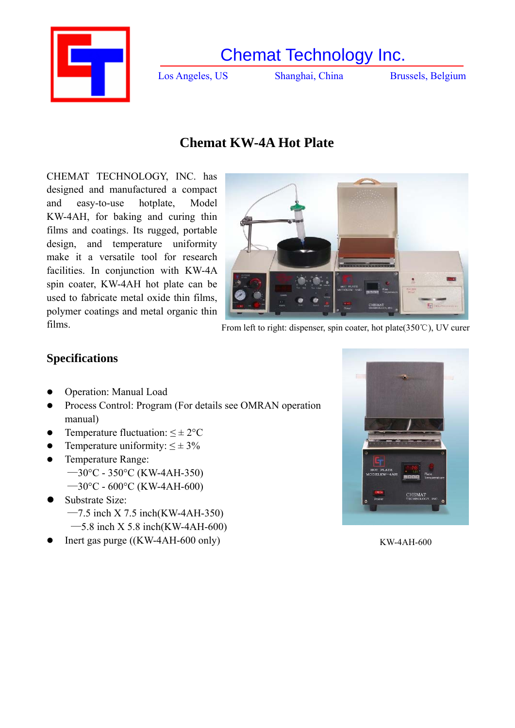

Los Angeles, US Shanghai, China Brussels, Belgium

# **Chemat KW-4A Hot Plate**

CHEMAT TECHNOLOGY, INC. has designed and manufactured a compact and easy-to-use hotplate, Model KW-4AH, for baking and curing thin films and coatings. Its rugged, portable design, and temperature uniformity make it a versatile tool for research facilities. In conjunction with KW-4A spin coater, KW-4AH hot plate can be used to fabricate metal oxide thin films, polymer coatings and metal organic thin



films. From left to right: dispenser, spin coater, hot plate(350℃), UV curer

## **Specifications**

- Operation: Manual Load
- Process Control: Program (For details see OMRAN operation manual)
- Temperature fluctuation:  $\leq \pm 2^{\circ}C$
- Temperature uniformity:  $\leq \pm 3\%$
- Temperature Range: —30°C - 350°C (KW-4AH-350)  $-30$ °C - 600°C (KW-4AH-600)
- Substrate Size:
	- $-7.5$  inch X 7.5 inch (KW-4AH-350)
	- $-5.8$  inch X 5.8 inch(KW-4AH-600)
- Inert gas purge ((KW-4AH-600 only) KW-4AH-600